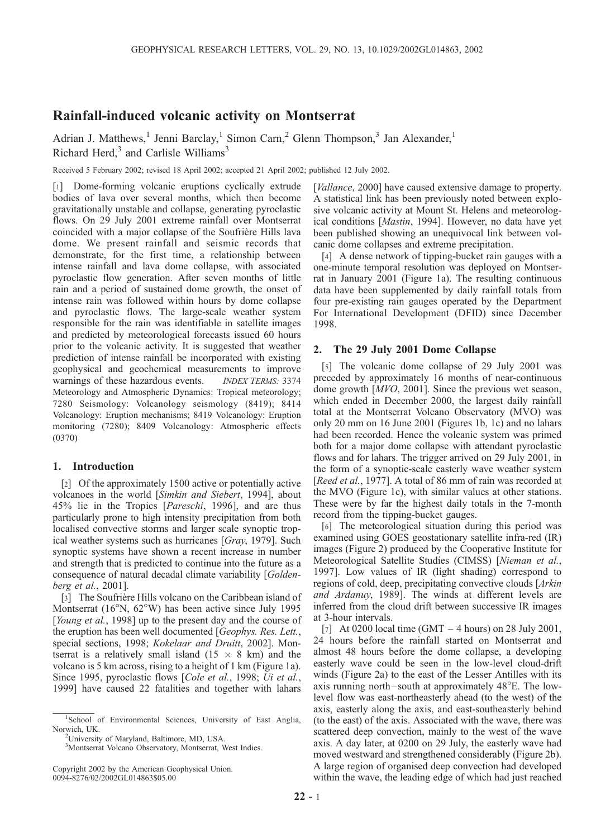# Rainfall-induced volcanic activity on Montserrat

Adrian J. Matthews,<sup>1</sup> Jenni Barclay,<sup>1</sup> Simon Carn,<sup>2</sup> Glenn Thompson,<sup>3</sup> Jan Alexander,<sup>1</sup> Richard Herd, $3$  and Carlisle Williams<sup>3</sup>

Received 5 February 2002; revised 18 April 2002; accepted 21 April 2002; published 12 July 2002.

[1] Dome-forming volcanic eruptions cyclically extrude bodies of lava over several months, which then become gravitationally unstable and collapse, generating pyroclastic flows. On 29 July 2001 extreme rainfall over Montserrat coincided with a major collapse of the Soufriere Hills lava dome. We present rainfall and seismic records that demonstrate, for the first time, a relationship between intense rainfall and lava dome collapse, with associated pyroclastic flow generation. After seven months of little rain and a period of sustained dome growth, the onset of intense rain was followed within hours by dome collapse and pyroclastic flows. The large-scale weather system responsible for the rain was identifiable in satellite images and predicted by meteorological forecasts issued 60 hours prior to the volcanic activity. It is suggested that weather prediction of intense rainfall be incorporated with existing geophysical and geochemical measurements to improve warnings of these hazardous events. INDEX TERMS: 3374 Meteorology and Atmospheric Dynamics: Tropical meteorology; 7280 Seismology: Volcanology seismology (8419); 8414 Volcanology: Eruption mechanisms; 8419 Volcanology: Eruption monitoring (7280); 8409 Volcanology: Atmospheric effects (0370)

## 1. Introduction

[2] Of the approximately 1500 active or potentially active volcanoes in the world [Simkin and Siebert, 1994], about 45% lie in the Tropics [Pareschi, 1996], and are thus particularly prone to high intensity precipitation from both localised convective storms and larger scale synoptic tropical weather systems such as hurricanes [Gray, 1979]. Such synoptic systems have shown a recent increase in number and strength that is predicted to continue into the future as a consequence of natural decadal climate variability [Goldenberg et al., 2001].

[3] The Soufriere Hills volcano on the Caribbean island of Montserrat (16 $\rm^{\circ}N$ , 62 $\rm^{\circ}W$ ) has been active since July 1995 [Young et al., 1998] up to the present day and the course of the eruption has been well documented [Geophys. Res. Lett., special sections, 1998; Kokelaar and Druitt, 2002]. Montserrat is a relatively small island  $(15 \times 8 \text{ km})$  and the volcano is 5 km across, rising to a height of 1 km (Figure 1a). Since 1995, pyroclastic flows [Cole et al., 1998; Ui et al., 1999] have caused 22 fatalities and together with lahars

[*Vallance*, 2000] have caused extensive damage to property. A statistical link has been previously noted between explosive volcanic activity at Mount St. Helens and meteorological conditions [Mastin, 1994]. However, no data have yet been published showing an unequivocal link between volcanic dome collapses and extreme precipitation.

[4] A dense network of tipping-bucket rain gauges with a one-minute temporal resolution was deployed on Montserrat in January 2001 (Figure 1a). The resulting continuous data have been supplemented by daily rainfall totals from four pre-existing rain gauges operated by the Department For International Development (DFID) since December 1998.

## 2. The 29 July 2001 Dome Collapse

[5] The volcanic dome collapse of 29 July 2001 was preceded by approximately 16 months of near-continuous dome growth [MVO, 2001]. Since the previous wet season, which ended in December 2000, the largest daily rainfall total at the Montserrat Volcano Observatory (MVO) was only 20 mm on 16 June 2001 (Figures 1b, 1c) and no lahars had been recorded. Hence the volcanic system was primed both for a major dome collapse with attendant pyroclastic flows and for lahars. The trigger arrived on 29 July 2001, in the form of a synoptic-scale easterly wave weather system [Reed et al., 1977]. A total of 86 mm of rain was recorded at the MVO (Figure 1c), with similar values at other stations. These were by far the highest daily totals in the 7-month record from the tipping-bucket gauges.

[6] The meteorological situation during this period was examined using GOES geostationary satellite infra-red (IR) images (Figure 2) produced by the Cooperative Institute for Meteorological Satellite Studies (CIMSS) [Nieman et al., 1997]. Low values of IR (light shading) correspond to regions of cold, deep, precipitating convective clouds [Arkin and Ardanuy, 1989]. The winds at different levels are inferred from the cloud drift between successive IR images at 3-hour intervals.

[7] At 0200 local time (GMT – 4 hours) on 28 July 2001, 24 hours before the rainfall started on Montserrat and almost 48 hours before the dome collapse, a developing easterly wave could be seen in the low-level cloud-drift winds (Figure 2a) to the east of the Lesser Antilles with its axis running north-south at approximately  $48^{\circ}$ E. The lowlevel flow was east-northeasterly ahead (to the west) of the axis, easterly along the axis, and east-southeasterly behind (to the east) of the axis. Associated with the wave, there was scattered deep convection, mainly to the west of the wave axis. A day later, at 0200 on 29 July, the easterly wave had moved westward and strengthened considerably (Figure 2b). A large region of organised deep convection had developed within the wave, the leading edge of which had just reached

<sup>&</sup>lt;sup>1</sup>School of Environmental Sciences, University of East Anglia, Norwich, UK. <sup>2</sup>

<sup>&</sup>lt;sup>2</sup>University of Maryland, Baltimore, MD, USA.

<sup>3</sup> Montserrat Volcano Observatory, Montserrat, West Indies.

Copyright 2002 by the American Geophysical Union. 0094-8276/02/2002GL014863\$05.00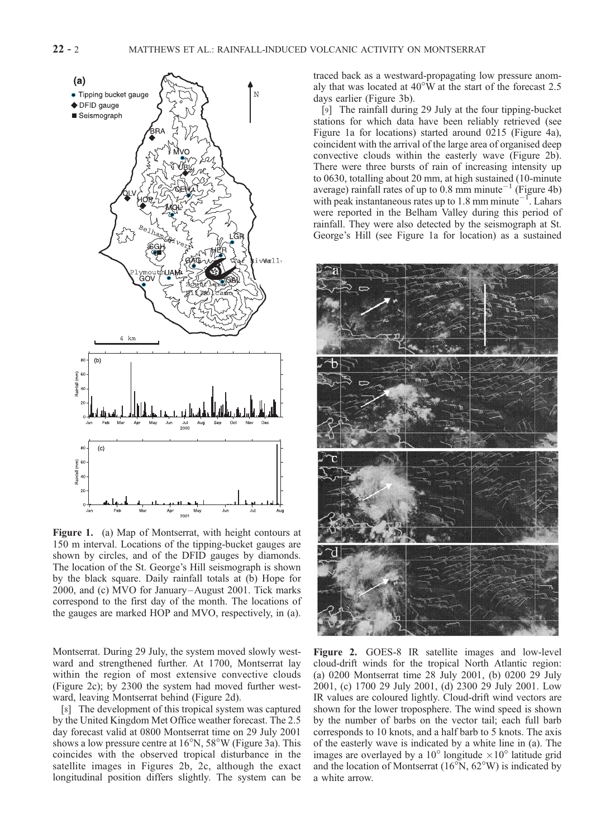

Figure 1. (a) Map of Montserrat, with height contours at 150 m interval. Locations of the tipping-bucket gauges are shown by circles, and of the DFID gauges by diamonds. The location of the St. George's Hill seismograph is shown by the black square. Daily rainfall totals at (b) Hope for 2000, and (c) MVO for January –August 2001. Tick marks correspond to the first day of the month. The locations of the gauges are marked HOP and MVO, respectively, in (a).

Montserrat. During 29 July, the system moved slowly westward and strengthened further. At 1700, Montserrat lay within the region of most extensive convective clouds (Figure 2c); by 2300 the system had moved further westward, leaving Montserrat behind (Figure 2d).

[8] The development of this tropical system was captured by the United Kingdom Met Office weather forecast. The 2.5 day forecast valid at 0800 Montserrat time on 29 July 2001 shows a low pressure centre at  $16^{\circ}$ N,  $58^{\circ}$ W (Figure 3a). This coincides with the observed tropical disturbance in the satellite images in Figures 2b, 2c, although the exact longitudinal position differs slightly. The system can be traced back as a westward-propagating low pressure anomaly that was located at  $40^{\circ}$ W at the start of the forecast 2.5 days earlier (Figure 3b).

[9] The rainfall during 29 July at the four tipping-bucket stations for which data have been reliably retrieved (see Figure 1a for locations) started around 0215 (Figure 4a), coincident with the arrival of the large area of organised deep convective clouds within the easterly wave (Figure 2b). There were three bursts of rain of increasing intensity up to 0630, totalling about 20 mm, at high sustained (10-minute average) rainfall rates of up to 0.8 mm minute<sup> $-1$ </sup> (Figure 4b) with peak instantaneous rates up to 1.8 mm minute<sup>-1</sup>. Lahars were reported in the Belham Valley during this period of rainfall. They were also detected by the seismograph at St. George's Hill (see Figure 1a for location) as a sustained



Figure 2. GOES-8 IR satellite images and low-level cloud-drift winds for the tropical North Atlantic region: (a) 0200 Montserrat time 28 July 2001, (b) 0200 29 July 2001, (c) 1700 29 July 2001, (d) 2300 29 July 2001. Low IR values are coloured lightly. Cloud-drift wind vectors are shown for the lower troposphere. The wind speed is shown by the number of barbs on the vector tail; each full barb corresponds to 10 knots, and a half barb to 5 knots. The axis of the easterly wave is indicated by a white line in (a). The images are overlayed by a 10 $^{\circ}$  longitude  $\times 10^{\circ}$  latitude grid and the location of Montserrat  $(16^{\circ}N, 62^{\circ}W)$  is indicated by a white arrow.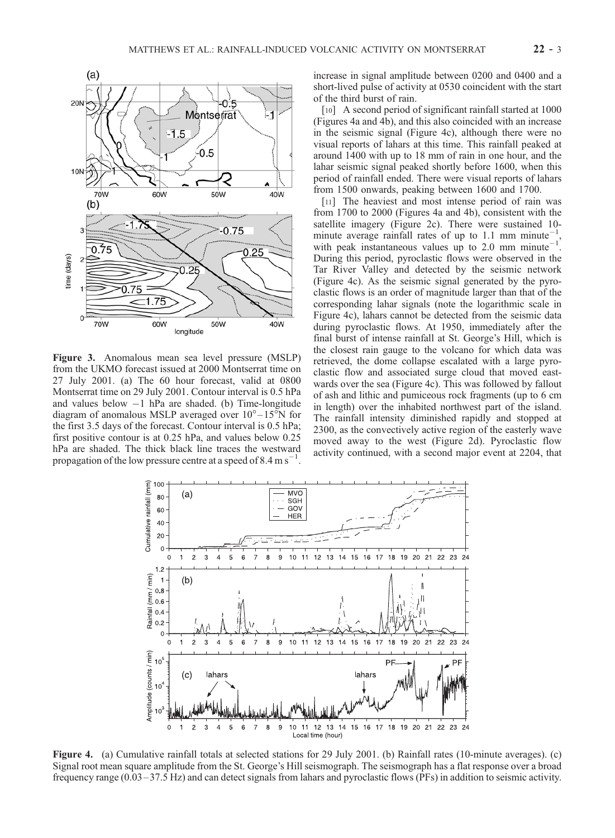

Figure 3. Anomalous mean sea level pressure (MSLP) from the UKMO forecast issued at 2000 Montserrat time on 27 July 2001. (a) The 60 hour forecast, valid at 0800 Montserrat time on 29 July 2001. Contour interval is 0.5 hPa and values below -1 hPa are shaded. (b) Time-longitude diagram of anomalous MSLP averaged over  $10^{\circ} - 15^{\circ}$ N for the first 3.5 days of the forecast. Contour interval is 0.5 hPa; first positive contour is at 0.25 hPa, and values below 0.25 hPa are shaded. The thick black line traces the westward propagation of the low pressure centre at a speed of 8.4 m s<sup>-1</sup>.

increase in signal amplitude between 0200 and 0400 and a short-lived pulse of activity at 0530 coincident with the start of the third burst of rain.

[10] A second period of significant rainfall started at 1000 (Figures 4a and 4b), and this also coincided with an increase in the seismic signal (Figure 4c), although there were no visual reports of lahars at this time. This rainfall peaked at around 1400 with up to 18 mm of rain in one hour, and the lahar seismic signal peaked shortly before 1600, when this period of rainfall ended. There were visual reports of lahars from 1500 onwards, peaking between 1600 and 1700.

[11] The heaviest and most intense period of rain was from 1700 to 2000 (Figures 4a and 4b), consistent with the satellite imagery (Figure 2c). There were sustained 10-<br>minute average rainfall rates of up to 1.1 mm minute<sup>-1</sup> minute average rainfall rates of up to 1.1 mm minute<sup>-</sup> , with peak instantaneous values up to 2.0 mm minute<sup>-1</sup>. During this period, pyroclastic flows were observed in the Tar River Valley and detected by the seismic network (Figure 4c). As the seismic signal generated by the pyroclastic flows is an order of magnitude larger than that of the corresponding lahar signals (note the logarithmic scale in Figure 4c), lahars cannot be detected from the seismic data during pyroclastic flows. At 1950, immediately after the final burst of intense rainfall at St. George's Hill, which is the closest rain gauge to the volcano for which data was retrieved, the dome collapse escalated with a large pyroclastic flow and associated surge cloud that moved eastwards over the sea (Figure 4c). This was followed by fallout of ash and lithic and pumiceous rock fragments (up to 6 cm in length) over the inhabited northwest part of the island. The rainfall intensity diminished rapidly and stopped at 2300, as the convectively active region of the easterly wave moved away to the west (Figure 2d). Pyroclastic flow activity continued, with a second major event at 2204, that



Figure 4. (a) Cumulative rainfall totals at selected stations for 29 July 2001. (b) Rainfall rates (10-minute averages). (c) Signal root mean square amplitude from the St. George's Hill seismograph. The seismograph has a flat response over a broad frequency range (0.03 – 37.5 Hz) and can detect signals from lahars and pyroclastic flows (PFs) in addition to seismic activity.